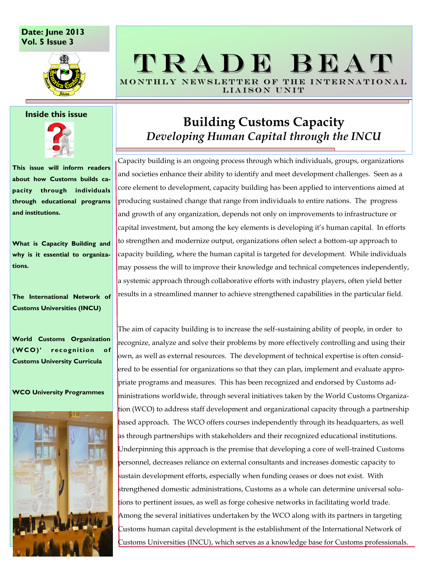### **Date: June 2013 Vol. 5 Issue 3**



#### **Inside this issue**



**This issue will inform readers about how Customs builds capacity through individuals through educational programs and institutions.**

**What is Capacity Building and why is it essential to organizations.**

**The International Network of Customs Universities (INCU)**

**World Customs Organization (W CO)' rec ognition of Customs University Curricula**

#### **WCO University Programmes**



# T R A D E B E A T MONTHLY NEWSLETTER OF THE INTERNATIONAL LIAISON UNIT

# **Building Customs Capacity**  *Developing Human Capital through the INCU*

Capacity building is an ongoing process through which individuals, groups, organizations and societies enhance their ability to identify and meet development challenges. Seen as a core element to development, capacity building has been applied to interventions aimed at producing sustained change that range from individuals to entire nations. The progress and growth of any organization, depends not only on improvements to infrastructure or capital investment, but among the key elements is developing it's human capital. In efforts to strengthen and modernize output, organizations often select a bottom-up approach to capacity building, where the human capital is targeted for development. While individuals may possess the will to improve their knowledge and technical competences independently, a systemic approach through collaborative efforts with industry players, often yield better results in a streamlined manner to achieve strengthened capabilities in the particular field.

The aim of capacity building is to increase the self-sustaining ability of people, in order to recognize, analyze and solve their problems by more effectively controlling and using their own, as well as external resources. The development of technical expertise is often considered to be essential for organizations so that they can plan, implement and evaluate appropriate programs and measures. This has been recognized and endorsed by Customs administrations worldwide, through several initiatives taken by the World Customs Organization (WCO) to address staff development and organizational capacity through a partnership based approach. The WCO offers courses independently through its headquarters, as well as through partnerships with stakeholders and their recognized educational institutions. Underpinning this approach is the premise that developing a core of well-trained Customs personnel, decreases reliance on external consultants and increases domestic capacity to sustain development efforts, especially when funding ceases or does not exist. With strengthened domestic administrations, Customs as a whole can determine universal solutions to pertinent issues, as well as forge cohesive networks in facilitating world trade. Among the several initiatives undertaken by the WCO along with its partners in targeting Customs human capital development is the establishment of the International Network of Customs Universities (INCU), which serves as a knowledge base for Customs professionals.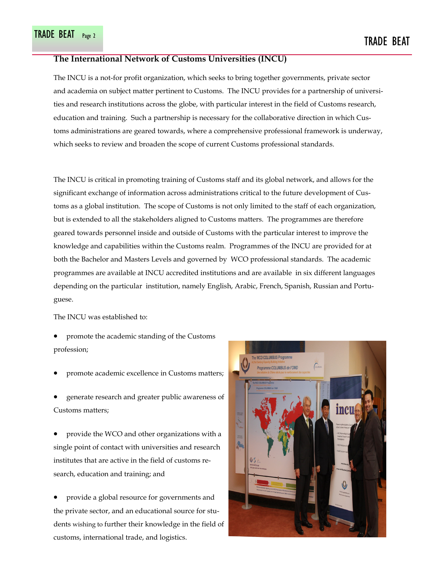#### **The International Network of Customs Universities (INCU)**

The INCU is a not-for profit organization, which seeks to bring together governments, private sector and academia on subject matter pertinent to Customs. The INCU provides for a partnership of universities and research institutions across the globe, with particular interest in the field of Customs research, education and training. Such a partnership is necessary for the collaborative direction in which Customs administrations are geared towards, where a comprehensive professional framework is underway, which seeks to review and broaden the scope of current Customs professional standards.

The INCU is critical in promoting training of Customs staff and its global network, and allows for the significant exchange of information across administrations critical to the future development of Customs as a global institution. The scope of Customs is not only limited to the staff of each organization, but is extended to all the stakeholders aligned to Customs matters. The programmes are therefore geared towards personnel inside and outside of Customs with the particular interest to improve the knowledge and capabilities within the Customs realm. Programmes of the INCU are provided for at both the Bachelor and Masters Levels and governed by WCO professional standards. The academic programmes are available at INCU accredited institutions and are available in six different languages depending on the particular institution, namely English, Arabic, French, Spanish, Russian and Portuguese.

The INCU was established to:

- promote the academic standing of the Customs profession;
- promote academic excellence in Customs matters;
- generate research and greater public awareness of Customs matters;

 provide the WCO and other organizations with a single point of contact with universities and research institutes that are active in the field of customs research, education and training; and

 provide a global resource for governments and the private sector, and an educational source for students wishing to further their knowledge in the field of customs, international trade, and logistics.

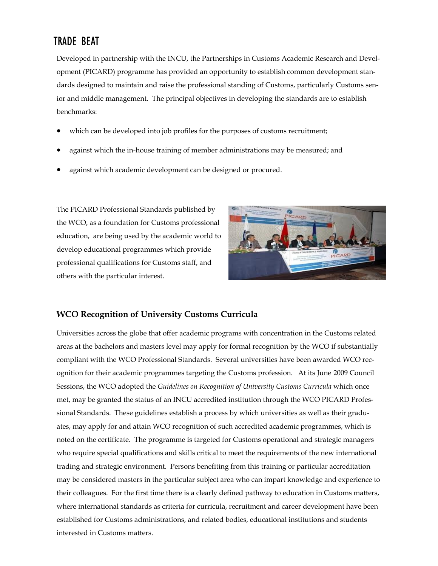### TRADE BEAT

Developed in partnership with the INCU, the Partnerships in Customs Academic Research and Development (PICARD) programme has provided an opportunity to establish common development standards designed to maintain and raise the professional standing of Customs, particularly Customs senior and middle management. The principal objectives in developing the standards are to establish benchmarks:

- which can be developed into job profiles for the purposes of customs recruitment;
- against which the in-house training of member administrations may be measured; and
- against which academic development can be designed or procured.

The PICARD Professional Standards published by the WCO, as a foundation for Customs professional education, are being used by the academic world to develop educational programmes which provide professional qualifications for Customs staff, and others with the particular interest.



### **WCO Recognition of University Customs Curricula**

Universities across the globe that offer academic programs with concentration in the Customs related areas at the bachelors and masters level may apply for formal recognition by the WCO if substantially compliant with the WCO Professional Standards. Several universities have been awarded WCO recognition for their academic programmes targeting the Customs profession. At its June 2009 Council Sessions, the WCO adopted the *Guidelines on Recognition of University Customs Curricula* which once met, may be granted the status of an INCU accredited institution through the WCO PICARD Professional Standards. These guidelines establish a process by which universities as well as their graduates, may apply for and attain WCO recognition of such accredited academic programmes, which is noted on the certificate. The programme is targeted for Customs operational and strategic managers who require special qualifications and skills critical to meet the requirements of the new international trading and strategic environment. Persons benefiting from this training or particular accreditation may be considered masters in the particular subject area who can impart knowledge and experience to their colleagues. For the first time there is a clearly defined pathway to education in Customs matters, where international standards as criteria for curricula, recruitment and career development have been established for Customs administrations, and related bodies, educational institutions and students interested in Customs matters.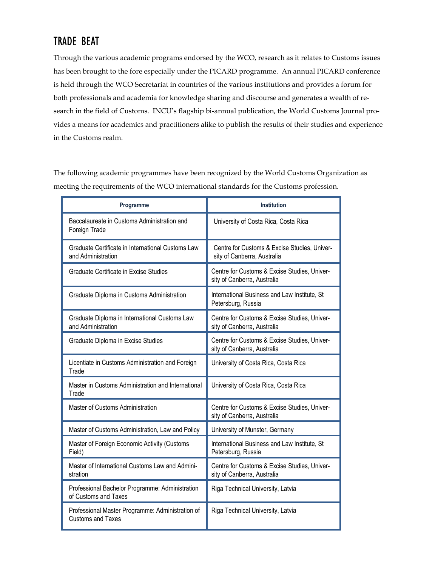## TRADE BEAT

Through the various academic programs endorsed by the WCO, research as it relates to Customs issues has been brought to the fore especially under the PICARD programme. An annual PICARD conference is held through the WCO Secretariat in countries of the various institutions and provides a forum for both professionals and academia for knowledge sharing and discourse and generates a wealth of research in the field of Customs. INCU's flagship bi-annual publication, the World Customs Journal provides a means for academics and practitioners alike to publish the results of their studies and experience in the Customs realm.

The following academic programmes have been recognized by the World Customs Organization as meeting the requirements of the WCO international standards for the Customs profession.

| Programme                                                                    | <b>Institution</b>                                                          |
|------------------------------------------------------------------------------|-----------------------------------------------------------------------------|
| Baccalaureate in Customs Administration and<br>Foreign Trade                 | University of Costa Rica, Costa Rica                                        |
| Graduate Certificate in International Customs Law<br>and Administration      | Centre for Customs & Excise Studies, Univer-<br>sity of Canberra, Australia |
| Graduate Certificate in Excise Studies                                       | Centre for Customs & Excise Studies, Univer-<br>sity of Canberra, Australia |
| Graduate Diploma in Customs Administration                                   | International Business and Law Institute, St<br>Petersburg, Russia          |
| Graduate Diploma in International Customs Law<br>and Administration          | Centre for Customs & Excise Studies, Univer-<br>sity of Canberra, Australia |
| Graduate Diploma in Excise Studies                                           | Centre for Customs & Excise Studies, Univer-<br>sity of Canberra, Australia |
| Licentiate in Customs Administration and Foreign<br>Trade                    | University of Costa Rica, Costa Rica                                        |
| Master in Customs Administration and International<br>Trade                  | University of Costa Rica, Costa Rica                                        |
| Master of Customs Administration                                             | Centre for Customs & Excise Studies, Univer-<br>sity of Canberra, Australia |
| Master of Customs Administration, Law and Policy                             | University of Munster, Germany                                              |
| Master of Foreign Economic Activity (Customs<br>Field)                       | International Business and Law Institute, St<br>Petersburg, Russia          |
| Master of International Customs Law and Admini-<br>stration                  | Centre for Customs & Excise Studies, Univer-<br>sity of Canberra, Australia |
| Professional Bachelor Programme: Administration<br>of Customs and Taxes      | Riga Technical University, Latvia                                           |
| Professional Master Programme: Administration of<br><b>Customs and Taxes</b> | Riga Technical University, Latvia                                           |